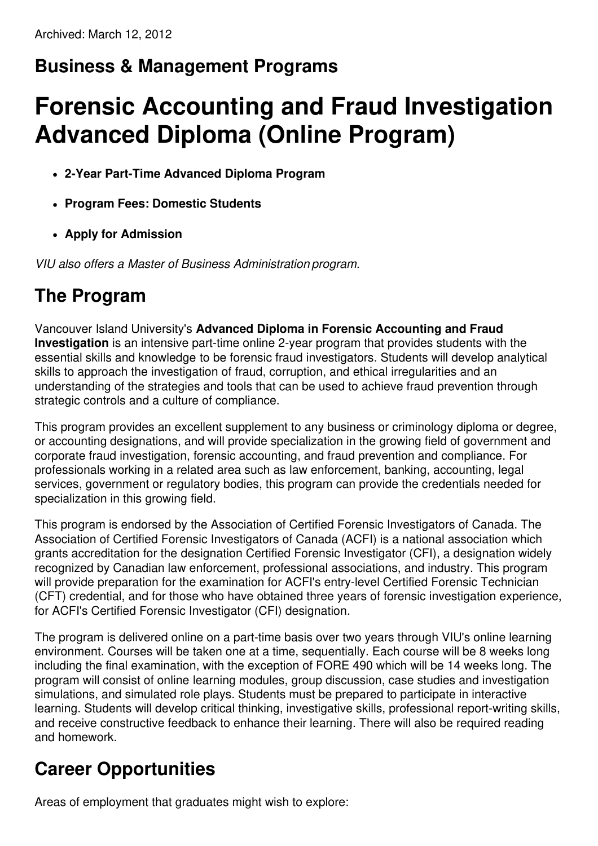# **Business & Management Programs**

# **Forensic Accounting and Fraud Investigation Advanced Diploma (Online Program)**

- **2-Year Part-Time Advanced Diploma Program**
- **Program Fees: Domestic Students**
- **Apply for Admission**

*VIU also offers a Master of Business Administration program.*

## **The Program**

Vancouver Island University's **Advanced Diploma in Forensic Accounting and Fraud Investigation** is an intensive part-time online 2-year program that provides students with the essential skills and knowledge to be forensic fraud investigators. Students will develop analytical skills to approach the investigation of fraud, corruption, and ethical irregularities and an understanding of the strategies and tools that can be used to achieve fraud prevention through strategic controls and a culture of compliance.

This program provides an excellent supplement to any business or criminology diploma or degree, or accounting designations, and will provide specialization in the growing field of government and corporate fraud investigation, forensic accounting, and fraud prevention and compliance. For professionals working in a related area such as law enforcement, banking, accounting, legal services, government or regulatory bodies, this program can provide the credentials needed for specialization in this growing field.

This program is endorsed by the Association of Certified Forensic Investigators of Canada. The Association of Certified Forensic Investigators of Canada (ACFI) is a national association which grants accreditation for the designation Certified Forensic Investigator (CFI), a designation widely recognized by Canadian law enforcement, professional associations, and industry. This program will provide preparation for the examination for ACFI's entry-level Certified Forensic Technician (CFT) credential, and for those who have obtained three years of forensic investigation experience, for ACFI's Certified Forensic Investigator (CFI) designation.

The program is delivered online on a part-time basis over two years through VIU's online learning environment. Courses will be taken one at a time, sequentially. Each course will be 8 weeks long including the final examination, with the exception of FORE 490 which will be 14 weeks long. The program will consist of online learning modules, group discussion, case studies and investigation simulations, and simulated role plays. Students must be prepared to participate in interactive learning. Students will develop critical thinking, investigative skills, professional report-writing skills, and receive constructive feedback to enhance their learning. There will also be required reading and homework.

# **Career Opportunities**

Areas of employment that graduates might wish to explore: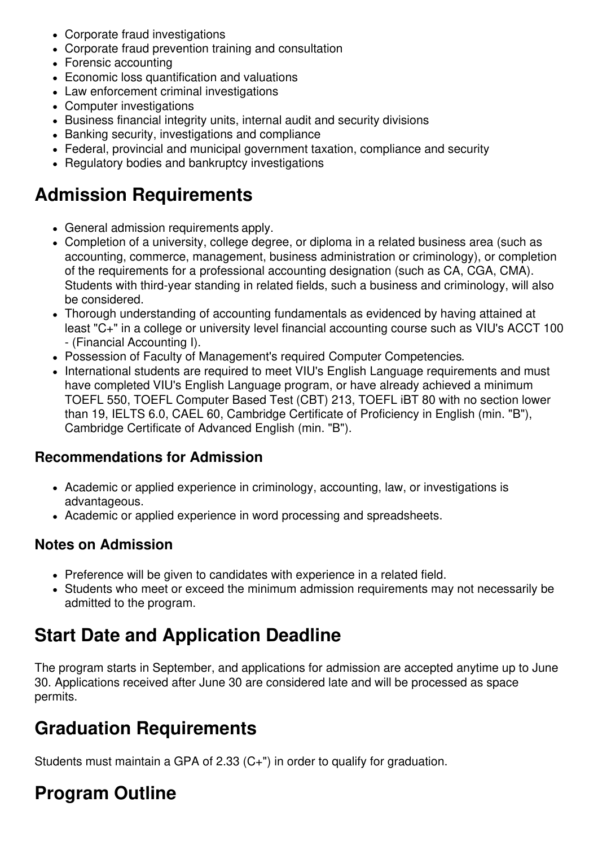- Corporate fraud investigations
- Corporate fraud prevention training and consultation
- Forensic accounting
- Economic loss quantification and valuations
- Law enforcement criminal investigations
- Computer investigations
- Business financial integrity units, internal audit and security divisions
- Banking security, investigations and compliance
- Federal, provincial and municipal government taxation, compliance and security
- Regulatory bodies and bankruptcy investigations

### **Admission Requirements**

- General admission requirements apply.
- Completion of a university, college degree, or diploma in a related business area (such as accounting, commerce, management, business administration or criminology), or completion of the requirements for a professional accounting designation (such as CA, CGA, CMA). Students with third-year standing in related fields, such a business and criminology, will also be considered.
- Thorough understanding of accounting fundamentals as evidenced by having attained at least "C+" in a college or university level financial accounting course such as VIU's ACCT 100 - (Financial Accounting I).
- Possession of Faculty of Management's required Computer Competencies.
- International students are required to meet VIU's English Language requirements and must have completed VIU's English Language program, or have already achieved a minimum TOEFL 550, TOEFL Computer Based Test (CBT) 213, TOEFL iBT 80 with no section lower than 19, IELTS 6.0, CAEL 60, Cambridge Certificate of Proficiency in English (min. "B"), Cambridge Certificate of Advanced English (min. "B").

#### **Recommendations for Admission**

- Academic or applied experience in criminology, accounting, law, or investigations is advantageous.
- Academic or applied experience in word processing and spreadsheets.

#### **Notes on Admission**

- Preference will be given to candidates with experience in a related field.
- Students who meet or exceed the minimum admission requirements may not necessarily be admitted to the program.

## **Start Date and Application Deadline**

The program starts in September, and applications for admission are accepted anytime up to June 30. Applications received after June 30 are considered late and will be processed as space permits.

### **Graduation Requirements**

Students must maintain a GPA of 2.33 (C+") in order to qualify for graduation.

# **Program Outline**